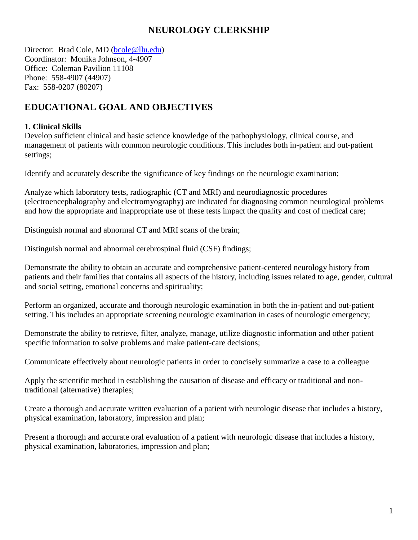## **NEUROLOGY CLERKSHIP**

Director: Brad Cole, MD [\(bcole@llu.edu\)](mailto:bcole@llu.edu) Coordinator: Monika Johnson, 4-4907 Office: Coleman Pavilion 11108 Phone: 558-4907 (44907) Fax: 558-0207 (80207)

# **EDUCATIONAL GOAL AND OBJECTIVES**

### **1. Clinical Skills**

Develop sufficient clinical and basic science knowledge of the pathophysiology, clinical course, and management of patients with common neurologic conditions. This includes both in-patient and out-patient settings;

Identify and accurately describe the significance of key findings on the neurologic examination;

Analyze which laboratory tests, radiographic (CT and MRI) and neurodiagnostic procedures (electroencephalography and electromyography) are indicated for diagnosing common neurological problems and how the appropriate and inappropriate use of these tests impact the quality and cost of medical care;

Distinguish normal and abnormal CT and MRI scans of the brain;

Distinguish normal and abnormal cerebrospinal fluid (CSF) findings;

Demonstrate the ability to obtain an accurate and comprehensive patient-centered neurology history from patients and their families that contains all aspects of the history, including issues related to age, gender, cultural and social setting, emotional concerns and spirituality;

Perform an organized, accurate and thorough neurologic examination in both the in-patient and out-patient setting. This includes an appropriate screening neurologic examination in cases of neurologic emergency;

Demonstrate the ability to retrieve, filter, analyze, manage, utilize diagnostic information and other patient specific information to solve problems and make patient-care decisions;

Communicate effectively about neurologic patients in order to concisely summarize a case to a colleague

Apply the scientific method in establishing the causation of disease and efficacy or traditional and nontraditional (alternative) therapies;

Create a thorough and accurate written evaluation of a patient with neurologic disease that includes a history, physical examination, laboratory, impression and plan;

Present a thorough and accurate oral evaluation of a patient with neurologic disease that includes a history, physical examination, laboratories, impression and plan;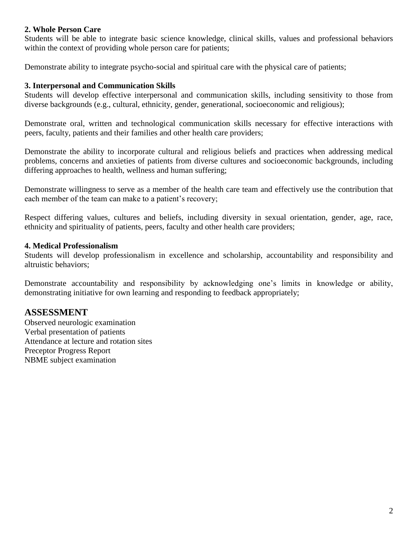### **2. Whole Person Care**

Students will be able to integrate basic science knowledge, clinical skills, values and professional behaviors within the context of providing whole person care for patients;

Demonstrate ability to integrate psycho-social and spiritual care with the physical care of patients;

### **3. Interpersonal and Communication Skills**

Students will develop effective interpersonal and communication skills, including sensitivity to those from diverse backgrounds (e.g., cultural, ethnicity, gender, generational, socioeconomic and religious);

Demonstrate oral, written and technological communication skills necessary for effective interactions with peers, faculty, patients and their families and other health care providers;

Demonstrate the ability to incorporate cultural and religious beliefs and practices when addressing medical problems, concerns and anxieties of patients from diverse cultures and socioeconomic backgrounds, including differing approaches to health, wellness and human suffering;

Demonstrate willingness to serve as a member of the health care team and effectively use the contribution that each member of the team can make to a patient's recovery;

Respect differing values, cultures and beliefs, including diversity in sexual orientation, gender, age, race, ethnicity and spirituality of patients, peers, faculty and other health care providers;

### **4. Medical Professionalism**

Students will develop professionalism in excellence and scholarship, accountability and responsibility and altruistic behaviors;

Demonstrate accountability and responsibility by acknowledging one's limits in knowledge or ability, demonstrating initiative for own learning and responding to feedback appropriately;

## **ASSESSMENT**

Observed neurologic examination Verbal presentation of patients Attendance at lecture and rotation sites Preceptor Progress Report NBME subject examination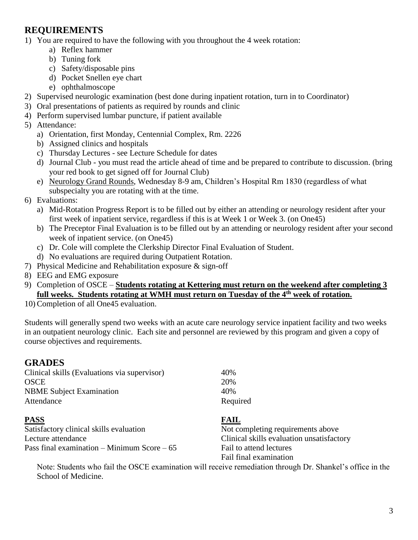# **REQUIREMENTS**

1) You are required to have the following with you throughout the 4 week rotation:

- a) Reflex hammer
- b) Tuning fork
- c) Safety/disposable pins
- d) Pocket Snellen eye chart
- e) ophthalmoscope
- 2) Supervised neurologic examination (best done during inpatient rotation, turn in to Coordinator)
- 3) Oral presentations of patients as required by rounds and clinic
- 4) Perform supervised lumbar puncture, if patient available

### 5) Attendance:

- a) Orientation, first Monday, Centennial Complex, Rm. 2226
- b) Assigned clinics and hospitals
- c) Thursday Lectures see Lecture Schedule for dates
- d) Journal Club you must read the article ahead of time and be prepared to contribute to discussion. (bring your red book to get signed off for Journal Club)
- e) Neurology Grand Rounds, Wednesday 8-9 am, Children's Hospital Rm 1830 (regardless of what subspecialty you are rotating with at the time.
- 6) Evaluations:
	- a) Mid-Rotation Progress Report is to be filled out by either an attending or neurology resident after your first week of inpatient service, regardless if this is at Week 1 or Week 3. (on One45)
	- b) The Preceptor Final Evaluation is to be filled out by an attending or neurology resident after your second week of inpatient service. (on One45)
	- c) Dr. Cole will complete the Clerkship Director Final Evaluation of Student.
	- d) No evaluations are required during Outpatient Rotation.
- 7) Physical Medicine and Rehabilitation exposure & sign-off
- 8) EEG and EMG exposure
- 9) Completion of OSCE **Students rotating at Kettering must return on the weekend after completing 3 full weeks. Students rotating at WMH must return on Tuesday of the 4th week of rotation.**
- 10) Completion of all One45 evaluation.

Students will generally spend two weeks with an acute care neurology service inpatient facility and two weeks in an outpatient neurology clinic. Each site and personnel are reviewed by this program and given a copy of course objectives and requirements.

## **GRADES**

| Clinical skills (Evaluations via supervisor)  | 40%                                       |
|-----------------------------------------------|-------------------------------------------|
| <b>OSCE</b>                                   | 20%                                       |
| <b>NBME</b> Subject Examination               | 40%                                       |
| Attendance                                    | Required                                  |
| <b>PASS</b>                                   | <b>FAIL</b>                               |
| Satisfactory clinical skills evaluation       | Not completing requirements above         |
| Lecture attendance                            | Clinical skills evaluation unsatisfactory |
| Pass final examination – Minimum Score – $65$ | Fail to attend lectures                   |
|                                               | Fail final examination                    |

Note: Students who fail the OSCE examination will receive remediation through Dr. Shankel's office in the School of Medicine.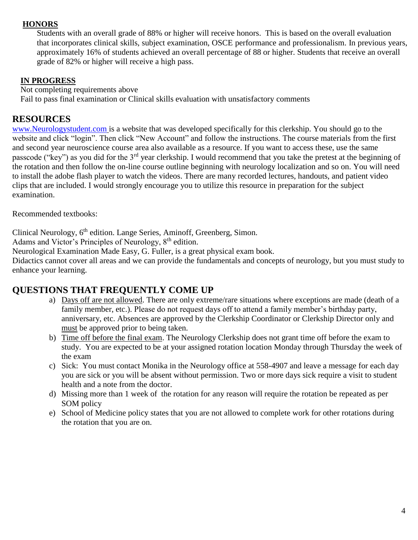### **HONORS**

Students with an overall grade of 88% or higher will receive honors. This is based on the overall evaluation that incorporates clinical skills, subject examination, OSCE performance and professionalism. In previous years, approximately 16% of students achieved an overall percentage of 88 or higher. Students that receive an overall grade of 82% or higher will receive a high pass.

### **IN PROGRESS**

 Not completing requirements above Fail to pass final examination or Clinical skills evaluation with unsatisfactory comments

# **RESOURCES**

[www.Neurologystudent.com](http://www.neurologystudent.com/) is a website that was developed specifically for this clerkship. You should go to the website and click "login". Then click "New Account" and follow the instructions. The course materials from the first and second year neuroscience course area also available as a resource. If you want to access these, use the same passcode ("key") as you did for the 3<sup>rd</sup> year clerkship. I would recommend that you take the pretest at the beginning of the rotation and then follow the on-line course outline beginning with neurology localization and so on. You will need to install the adobe flash player to watch the videos. There are many recorded lectures, handouts, and patient video clips that are included. I would strongly encourage you to utilize this resource in preparation for the subject examination.

Recommended textbooks:

Clinical Neurology, 6<sup>th</sup> edition. Lange Series, Aminoff, Greenberg, Simon.

Adams and Victor's Principles of Neurology, 8<sup>th</sup> edition.

Neurological Examination Made Easy, G. Fuller, is a great physical exam book.

Didactics cannot cover all areas and we can provide the fundamentals and concepts of neurology, but you must study to enhance your learning.

## **QUESTIONS THAT FREQUENTLY COME UP**

- a) Days off are not allowed. There are only extreme/rare situations where exceptions are made (death of a family member, etc.). Please do not request days off to attend a family member's birthday party, anniversary, etc. Absences are approved by the Clerkship Coordinator or Clerkship Director only and must be approved prior to being taken.
- b) Time off before the final exam. The Neurology Clerkship does not grant time off before the exam to study. You are expected to be at your assigned rotation location Monday through Thursday the week of the exam
- c) Sick: You must contact Monika in the Neurology office at 558-4907 and leave a message for each day you are sick or you will be absent without permission. Two or more days sick require a visit to student health and a note from the doctor.
- d) Missing more than 1 week of the rotation for any reason will require the rotation be repeated as per SOM policy
- e) School of Medicine policy states that you are not allowed to complete work for other rotations during the rotation that you are on.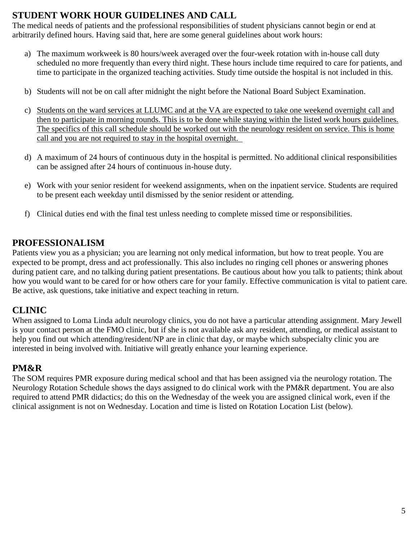# **STUDENT WORK HOUR GUIDELINES AND CALL**

The medical needs of patients and the professional responsibilities of student physicians cannot begin or end at arbitrarily defined hours. Having said that, here are some general guidelines about work hours:

- a) The maximum workweek is 80 hours/week averaged over the four-week rotation with in-house call duty scheduled no more frequently than every third night. These hours include time required to care for patients, and time to participate in the organized teaching activities. Study time outside the hospital is not included in this.
- b) Students will not be on call after midnight the night before the National Board Subject Examination.
- c) Students on the ward services at LLUMC and at the VA are expected to take one weekend overnight call and then to participate in morning rounds. This is to be done while staying within the listed work hours guidelines. The specifics of this call schedule should be worked out with the neurology resident on service. This is home call and you are not required to stay in the hospital overnight.
- d) A maximum of 24 hours of continuous duty in the hospital is permitted. No additional clinical responsibilities can be assigned after 24 hours of continuous in-house duty.
- e) Work with your senior resident for weekend assignments, when on the inpatient service. Students are required to be present each weekday until dismissed by the senior resident or attending.
- f) Clinical duties end with the final test unless needing to complete missed time or responsibilities.

# **PROFESSIONALISM**

Patients view you as a physician; you are learning not only medical information, but how to treat people. You are expected to be prompt, dress and act professionally. This also includes no ringing cell phones or answering phones during patient care, and no talking during patient presentations. Be cautious about how you talk to patients; think about how you would want to be cared for or how others care for your family. Effective communication is vital to patient care. Be active, ask questions, take initiative and expect teaching in return.

# **CLINIC**

When assigned to Loma Linda adult neurology clinics, you do not have a particular attending assignment. Mary Jewell is your contact person at the FMO clinic, but if she is not available ask any resident, attending, or medical assistant to help you find out which attending/resident/NP are in clinic that day, or maybe which subspecialty clinic you are interested in being involved with. Initiative will greatly enhance your learning experience.

# **PM&R**

The SOM requires PMR exposure during medical school and that has been assigned via the neurology rotation. The Neurology Rotation Schedule shows the days assigned to do clinical work with the PM&R department. You are also required to attend PMR didactics; do this on the Wednesday of the week you are assigned clinical work, even if the clinical assignment is not on Wednesday. Location and time is listed on Rotation Location List (below).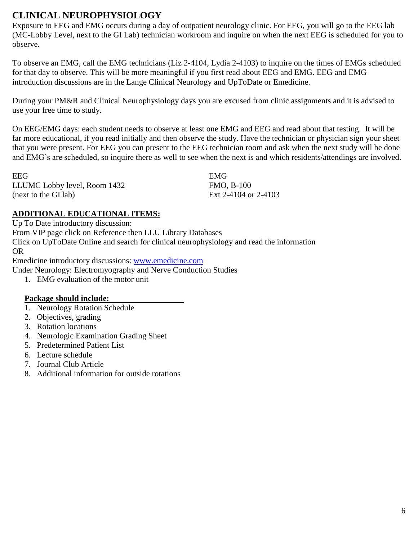# **CLINICAL NEUROPHYSIOLOGY**

Exposure to EEG and EMG occurs during a day of outpatient neurology clinic. For EEG, you will go to the EEG lab (MC-Lobby Level, next to the GI Lab) technician workroom and inquire on when the next EEG is scheduled for you to observe.

To observe an EMG, call the EMG technicians (Liz 2-4104, Lydia 2-4103) to inquire on the times of EMGs scheduled for that day to observe. This will be more meaningful if you first read about EEG and EMG. EEG and EMG introduction discussions are in the Lange Clinical Neurology and UpToDate or Emedicine.

During your PM&R and Clinical Neurophysiology days you are excused from clinic assignments and it is advised to use your free time to study.

On EEG/EMG days: each student needs to observe at least one EMG and EEG and read about that testing. It will be far more educational, if you read initially and then observe the study. Have the technician or physician sign your sheet that you were present. For EEG you can present to the EEG technician room and ask when the next study will be done and EMG's are scheduled, so inquire there as well to see when the next is and which residents/attendings are involved.

| EEG                          | EMG                  |
|------------------------------|----------------------|
| LLUMC Lobby level, Room 1432 | <b>FMO, B-100</b>    |
| (next to the GI lab)         | Ext 2-4104 or 2-4103 |

## **ADDITIONAL EDUCATIONAL ITEMS:**

Up To Date introductory discussion: From VIP page click on Reference then LLU Library Databases Click on UpToDate Online and search for clinical neurophysiology and read the information OR

Emedicine introductory discussions: [www.emedicine.com](http://www.emedicine.com/)

Under Neurology: Electromyography and Nerve Conduction Studies

1. EMG evaluation of the motor unit

### **Package should include:**

- 1. Neurology Rotation Schedule
- 2. Objectives, grading
- 3. Rotation locations
- 4. Neurologic Examination Grading Sheet
- 5. Predetermined Patient List
- 6. Lecture schedule
- 7. Journal Club Article
- 8. Additional information for outside rotations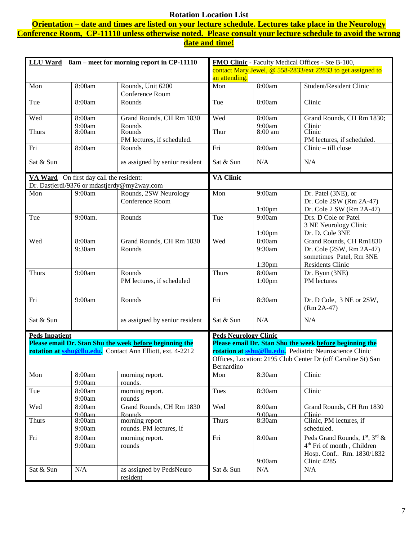### **Rotation Location List**

**Orientation – date and times are listed on your lecture schedule. Lectures take place in the Neurology Conference Room, CP-11110 unless otherwise noted. Please consult your lecture schedule to avoid the wrong date and time!** 

| <b>LLU</b> Ward<br>8am – meet for morning report in CP-11110 |                                         | FMO Clinic - Faculty Medical Offices - Ste B-100,                 |                                                              |                    |                                                                |
|--------------------------------------------------------------|-----------------------------------------|-------------------------------------------------------------------|--------------------------------------------------------------|--------------------|----------------------------------------------------------------|
|                                                              |                                         |                                                                   | contact Mary Jewel, @ 558-2833/ext 22833 to get assigned to  |                    |                                                                |
|                                                              |                                         |                                                                   | an attending.                                                |                    |                                                                |
| Mon                                                          | 8:00am                                  | Rounds, Unit 6200<br>Conference Room                              | Mon                                                          | 8:00am             | Student/Resident Clinic                                        |
| Tue                                                          | 8:00am                                  | Rounds                                                            | Tue                                                          | 8:00am             | Clinic                                                         |
| Wed                                                          | 8:00am<br>9.00am                        | Grand Rounds, CH Rm 1830<br>Rounds                                | Wed                                                          | 8:00am<br>9.00am   | Grand Rounds, CH Rm 1830;<br>Clinic                            |
| <b>Thurs</b>                                                 | 8:00am                                  | Rounds<br>PM lectures, if scheduled.                              | Thur                                                         | 8:00 am            | Clinic<br>PM lectures, if scheduled.                           |
| Fri                                                          | 8:00am                                  | Rounds                                                            | Fri                                                          | 8:00am             | Clinic - till close                                            |
| Sat & Sun                                                    |                                         | as assigned by senior resident                                    | Sat & Sun                                                    | N/A                | N/A                                                            |
|                                                              | VA Ward On first day call the resident: | Dr. Dastjerdi/9376 or mdastjerdy@my2way.com                       | <b>VA Clinic</b>                                             |                    |                                                                |
| Mon                                                          | 9:00am                                  | Rounds, 2SW Neurology                                             | Mon                                                          | 9:00am             | Dr. Patel (3NE), or                                            |
|                                                              |                                         | Conference Room                                                   |                                                              |                    | Dr. Cole 2SW (Rm 2A-47)                                        |
|                                                              |                                         |                                                                   |                                                              | $1:00$ pm          | Dr. Cole 2 SW (Rm 2A-47)                                       |
| Tue                                                          | 9:00am.                                 | Rounds                                                            | Tue                                                          | 9:00am             | Drs. D Cole or Patel                                           |
|                                                              |                                         |                                                                   |                                                              |                    | 3 NE Neurology Clinic                                          |
|                                                              |                                         |                                                                   |                                                              | $1:00$ pm          | Dr. D. Cole 3NE                                                |
| Wed                                                          | 8:00am                                  | Grand Rounds, CH Rm 1830                                          | Wed                                                          | 8:00am             | Grand Rounds, CH Rm1830                                        |
|                                                              | 9:30am                                  | Rounds                                                            |                                                              | 9:30am             | Dr. Cole (2SW, Rm 2A-47)                                       |
|                                                              |                                         |                                                                   |                                                              |                    | sometimes Patel, Rm 3NE                                        |
|                                                              |                                         |                                                                   |                                                              | 1:30 <sub>pm</sub> | <b>Residents Clinic</b>                                        |
| <b>Thurs</b>                                                 | 9:00am                                  | Rounds                                                            | <b>Thurs</b>                                                 | 8:00am             | Dr. Byun (3NE)                                                 |
|                                                              |                                         | PM lectures, if scheduled                                         |                                                              | 1:00 <sub>pm</sub> | PM lectures                                                    |
|                                                              |                                         |                                                                   |                                                              |                    |                                                                |
| Fri                                                          | 9:00am                                  | Rounds                                                            | Fri                                                          | 8:30am             |                                                                |
|                                                              |                                         |                                                                   |                                                              |                    | Dr. D Cole, 3 NE or 2SW,<br>$(Rm 2A-47)$                       |
| Sat & Sun                                                    |                                         | as assigned by senior resident                                    | Sat & Sun                                                    | N/A                | N/A                                                            |
| <b>Peds Inpatient</b>                                        |                                         |                                                                   | <b>Peds Neurology Clinic</b>                                 |                    |                                                                |
|                                                              |                                         | Please email Dr. Stan Shu the week before beginning the           |                                                              |                    | Please email Dr. Stan Shu the week before beginning the        |
|                                                              |                                         | rotation at <b>sshu@llu.edu.</b> Contact Ann Elliott, ext. 4-2212 |                                                              |                    | <b>rotation at sshu@llu.edu.</b> Pediatric Neuroscience Clinic |
|                                                              |                                         |                                                                   | Offices, Location: 2195 Club Center Dr (off Caroline St) San |                    |                                                                |
|                                                              |                                         |                                                                   | Bernardino                                                   |                    |                                                                |
| Mon                                                          | 8:00am                                  | morning report.                                                   | Mon                                                          | 8:30am             | Clinic                                                         |
|                                                              | 9:00am                                  | rounds.                                                           |                                                              |                    |                                                                |
| Tue                                                          | 8:00am                                  | morning report.                                                   | Tues                                                         | 8:30am             | Clinic                                                         |
|                                                              | 9:00am                                  | rounds                                                            |                                                              |                    |                                                                |
| Wed                                                          | 8:00am                                  | Grand Rounds, CH Rm 1830                                          | Wed                                                          | 8:00am             | Grand Rounds, CH Rm 1830                                       |
|                                                              | 9.00am                                  | Rounds                                                            |                                                              | 9.00am             | Clinic.                                                        |
| <b>Thurs</b>                                                 | 8:00am                                  | morning report                                                    | <b>Thurs</b>                                                 | 8:30am             | Clinic, PM lectures, if                                        |
|                                                              | 9:00am                                  | rounds. PM lectures, if                                           |                                                              |                    | scheduled.                                                     |
| Fri                                                          | 8:00am                                  | morning report.                                                   | Fri                                                          | 8:00am             | Peds Grand Rounds, 1 <sup>st</sup> , 3 <sup>rd</sup> &         |
|                                                              | 9:00am                                  | rounds                                                            |                                                              |                    | 4 <sup>th</sup> Fri of month, Children                         |
|                                                              |                                         |                                                                   |                                                              |                    | Hosp. Conf Rm. 1830/1832                                       |
|                                                              |                                         |                                                                   |                                                              | 9:00am             | Clinic 4285                                                    |
| Sat & Sun                                                    | N/A                                     | as assigned by PedsNeuro<br>resident                              | Sat & Sun                                                    | N/A                | N/A                                                            |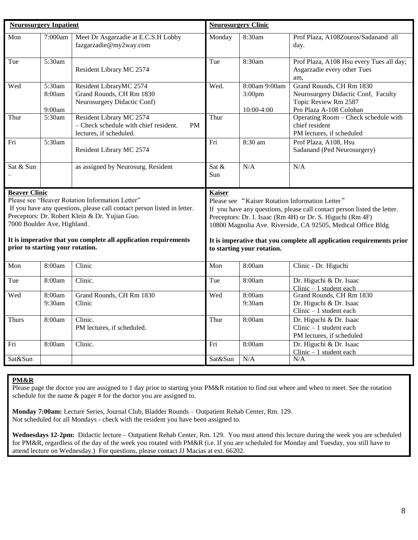| <b>Neurosurgery Inpatient</b>                                                                                                                                                                                                                                                                                                              |                            | <b>Neurosurgery Clinic</b>                                                                                                                                                                                                                                                                                                                                                        |                |                                                   |                                                                                                                    |
|--------------------------------------------------------------------------------------------------------------------------------------------------------------------------------------------------------------------------------------------------------------------------------------------------------------------------------------------|----------------------------|-----------------------------------------------------------------------------------------------------------------------------------------------------------------------------------------------------------------------------------------------------------------------------------------------------------------------------------------------------------------------------------|----------------|---------------------------------------------------|--------------------------------------------------------------------------------------------------------------------|
| $\overline{\text{Mon}}$                                                                                                                                                                                                                                                                                                                    | 7:000am                    | Meet Dr Asgarzadie at E.C.S.H Lobby<br>fazgarzadie@my2way.com                                                                                                                                                                                                                                                                                                                     | Monday         | 8:30am                                            | Prof Plaza, A108Zouros/Sadanand all<br>day.                                                                        |
| Tue                                                                                                                                                                                                                                                                                                                                        | 5:30am                     | Resident Library MC 2574                                                                                                                                                                                                                                                                                                                                                          | Tue            | 8:30am                                            | Prof Plaza, A108 Hsu every Tues all day;<br>Asgarzadie every other Tues<br>am.                                     |
| Wed                                                                                                                                                                                                                                                                                                                                        | 5:30am<br>8:00am<br>9:00am | Resident LibraryMC 2574<br>Grand Rounds, CH Rm 1830<br>Neurosurgery Didactic Conf)                                                                                                                                                                                                                                                                                                | Wed.           | 8:00am 9:00am<br>3:00 <sub>pm</sub><br>10:00-4:00 | Grand Rounds, CH Rm 1830<br>Neurosurgery Didactic Conf, Faculty<br>Topic Review Rm 2587<br>Pro Plaza A-108 Colohan |
| Thur                                                                                                                                                                                                                                                                                                                                       | 5:30am                     | Resident Library MC 2574<br>- Check schedule with chief resident.<br><b>PM</b><br>lectures, if scheduled.                                                                                                                                                                                                                                                                         | Thur           |                                                   | Operating Room - Check schedule with<br>chief resident<br>PM lectures, if scheduled                                |
| Fri                                                                                                                                                                                                                                                                                                                                        | 5:30am                     | Resident Library MC 2574                                                                                                                                                                                                                                                                                                                                                          | Fri            | 8:30 am                                           | Prof Plaza, A108, Hsu<br>Sadanand (Ped Neurosurgery)                                                               |
| Sat & Sun                                                                                                                                                                                                                                                                                                                                  |                            | as assigned by Neurosurg. Resident                                                                                                                                                                                                                                                                                                                                                | Sat $&$<br>Sun | N/A                                               | N/A                                                                                                                |
| <b>Beaver Clinic</b><br>Please see "Beaver Rotation Information Letter"<br>If you have any questions, please call contact person listed in letter.<br>Preceptors: Dr. Robert Klein & Dr. Yujian Guo.<br>7000 Boulder Ave, Highland.<br>It is imperative that you complete all application requirements<br>prior to starting your rotation. |                            | <b>Kaiser</b><br>Please see "Kaiser Rotation Information Letter"<br>If you have any questions, please call contact person listed the letter.<br>Preceptors: Dr. I. Isaac (Rm 4H) or Dr. S. Higuchi (Rm 4F)<br>10800 Magnolia Ave. Riverside, CA 92505, Medical Office Bldg<br>It is imperative that you complete all application requirements prior<br>to starting your rotation. |                |                                                   |                                                                                                                    |
| Mon                                                                                                                                                                                                                                                                                                                                        | 8:00am                     | Clinic                                                                                                                                                                                                                                                                                                                                                                            | Mon            | 8:00am                                            | Clinic - Dr. Higuchi                                                                                               |
| Tue                                                                                                                                                                                                                                                                                                                                        | 8:00am                     | Clinic.                                                                                                                                                                                                                                                                                                                                                                           | Tue            | 8:00am                                            | Dr. Higuchi & Dr. Isaac<br>$Clinic - 1$ student each                                                               |
| Wed                                                                                                                                                                                                                                                                                                                                        | 8:00am<br>9:30am           | Grand Rounds, CH Rm 1830<br>Clinic                                                                                                                                                                                                                                                                                                                                                | Wed            | 8:00am<br>9:30am                                  | Grand Rounds, CH Rm 1830<br>Dr. Higuchi & Dr. Isaac<br>$Clinic - 1$ student each                                   |
| Thurs                                                                                                                                                                                                                                                                                                                                      | 8:00am                     | Clinic.<br>PM lectures, if scheduled.                                                                                                                                                                                                                                                                                                                                             | Thur           | 8:00am                                            | Dr. Higuchi & Dr. Isaac<br>$Clinic - 1$ student each<br>PM lectures, if scheduled                                  |
| Fri                                                                                                                                                                                                                                                                                                                                        | 8:00am                     | Clinic.                                                                                                                                                                                                                                                                                                                                                                           | Fri            | 8:00am                                            | Dr. Higuchi & Dr. Isaac<br>$Clinic - 1$ student each                                                               |
| Sat&Sun                                                                                                                                                                                                                                                                                                                                    |                            |                                                                                                                                                                                                                                                                                                                                                                                   | Sat&Sun        | N/A                                               | N/A                                                                                                                |
|                                                                                                                                                                                                                                                                                                                                            |                            |                                                                                                                                                                                                                                                                                                                                                                                   |                |                                                   |                                                                                                                    |

#### **PM&R**

Please page the doctor you are assigned to 1 day prior to starting your PM&R rotation to find out where and when to meet. See the rotation schedule for the name & pager # for the doctor you are assigned to.

**Monday 7:00am:** Lecture Series, Journal Club, Bladder Rounds – Outpatient Rehab Center, Rm. 129. Not scheduled for all Mondays - check with the resident you have been assigned to.

**Wednesdays 12-2pm:** Didactic lecture – Outpatient Rehab Center, Rm. 129. You must attend this lecture during the week you are scheduled for PM&R, regardless of the day of the week you rotated with PM&R (i.e. If you are scheduled for Monday and Tuesday, you still have to attend lecture on Wednesday.) For questions, please contact JJ Macias at ext. 66202.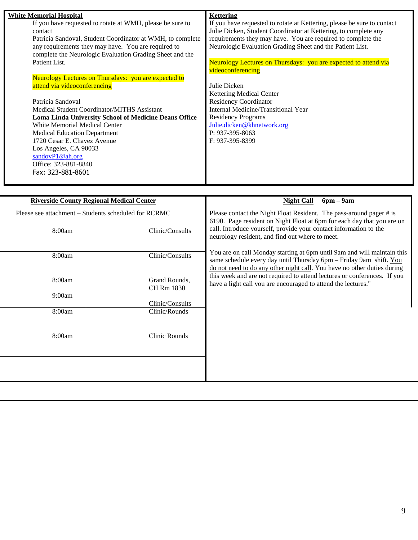| If you have requested to rotate at WMH, please be sure to<br>If you have requested to rotate at Kettering, please be sure to contact<br>Julie Dicken, Student Coordinator at Kettering, to complete any<br>contact<br>requirements they may have. You are required to complete the<br>Patricia Sandoval, Student Coordinator at WMH, to complete<br>Neurologic Evaluation Grading Sheet and the Patient List.<br>any requirements they may have. You are required to<br>complete the Neurologic Evaluation Grading Sheet and the<br>Patient List.<br>Neurology Lectures on Thursdays: you are expected to attend via |  |
|----------------------------------------------------------------------------------------------------------------------------------------------------------------------------------------------------------------------------------------------------------------------------------------------------------------------------------------------------------------------------------------------------------------------------------------------------------------------------------------------------------------------------------------------------------------------------------------------------------------------|--|
|                                                                                                                                                                                                                                                                                                                                                                                                                                                                                                                                                                                                                      |  |
|                                                                                                                                                                                                                                                                                                                                                                                                                                                                                                                                                                                                                      |  |
|                                                                                                                                                                                                                                                                                                                                                                                                                                                                                                                                                                                                                      |  |
|                                                                                                                                                                                                                                                                                                                                                                                                                                                                                                                                                                                                                      |  |
|                                                                                                                                                                                                                                                                                                                                                                                                                                                                                                                                                                                                                      |  |
|                                                                                                                                                                                                                                                                                                                                                                                                                                                                                                                                                                                                                      |  |
| videoconferencing                                                                                                                                                                                                                                                                                                                                                                                                                                                                                                                                                                                                    |  |
| Neurology Lectures on Thursdays: you are expected to                                                                                                                                                                                                                                                                                                                                                                                                                                                                                                                                                                 |  |
| attend via videoconferencing<br>Julie Dicken                                                                                                                                                                                                                                                                                                                                                                                                                                                                                                                                                                         |  |
| <b>Kettering Medical Center</b>                                                                                                                                                                                                                                                                                                                                                                                                                                                                                                                                                                                      |  |
| <b>Residency Coordinator</b><br>Patricia Sandoval                                                                                                                                                                                                                                                                                                                                                                                                                                                                                                                                                                    |  |
| Internal Medicine/Transitional Year<br>Medical Student Coordinator/MITHS Assistant                                                                                                                                                                                                                                                                                                                                                                                                                                                                                                                                   |  |
| <b>Residency Programs</b><br>Loma Linda University School of Medicine Deans Office                                                                                                                                                                                                                                                                                                                                                                                                                                                                                                                                   |  |
| White Memorial Medical Center<br>Julie.dicken@khnetwork.org                                                                                                                                                                                                                                                                                                                                                                                                                                                                                                                                                          |  |
| P: 937-395-8063<br><b>Medical Education Department</b>                                                                                                                                                                                                                                                                                                                                                                                                                                                                                                                                                               |  |
| 1720 Cesar E. Chavez Avenue<br>F: 937-395-8399                                                                                                                                                                                                                                                                                                                                                                                                                                                                                                                                                                       |  |
| Los Angeles, CA 90033                                                                                                                                                                                                                                                                                                                                                                                                                                                                                                                                                                                                |  |
| sandovP1@ah.org                                                                                                                                                                                                                                                                                                                                                                                                                                                                                                                                                                                                      |  |
| Office: 323-881-8840                                                                                                                                                                                                                                                                                                                                                                                                                                                                                                                                                                                                 |  |
| Fax: 323-881-8601                                                                                                                                                                                                                                                                                                                                                                                                                                                                                                                                                                                                    |  |
|                                                                                                                                                                                                                                                                                                                                                                                                                                                                                                                                                                                                                      |  |

|        | <b>Riverside County Regional Medical Center</b>      | $6pm - 9am$<br><b>Night Call</b>                                                                                                                                                                                         |
|--------|------------------------------------------------------|--------------------------------------------------------------------------------------------------------------------------------------------------------------------------------------------------------------------------|
|        | Please see attachment – Students scheduled for RCRMC | Please contact the Night Float Resident. The pass-around pager # is<br>6190. Page resident on Night Float at 6pm for each day that you are on                                                                            |
| 8:00am | Clinic/Consults                                      | call. Introduce yourself, provide your contact information to the<br>neurology resident, and find out where to meet.                                                                                                     |
| 8:00am | Clinic/Consults                                      | You are on call Monday starting at 6pm until 9am and will maintain this<br>same schedule every day until Thursday 6pm - Friday 9am shift. You<br>do not need to do any other night call. You have no other duties during |
| 8:00am | Grand Rounds,<br>CH Rm 1830                          | this week and are not required to attend lectures or conferences. If you<br>have a light call you are encouraged to attend the lectures."                                                                                |
| 9:00am | Clinic/Consults                                      |                                                                                                                                                                                                                          |
| 8:00am | Clinic/Rounds                                        |                                                                                                                                                                                                                          |
| 8:00am | Clinic Rounds                                        |                                                                                                                                                                                                                          |
|        |                                                      |                                                                                                                                                                                                                          |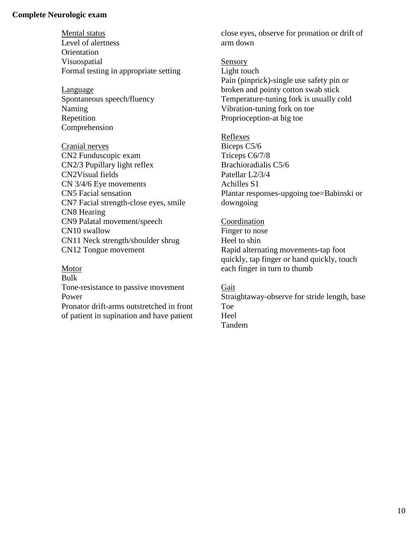#### **Complete Neurologic exam**

Mental status Level of alertness **Orientation** Visuospatial Formal testing in appropriate setting

**Language** Spontaneous speech/fluency Naming Repetition Comprehension

Cranial nerves CN2 Funduscopic exam CN2/3 Pupillary light reflex CN2Visual fields CN 3/4/6 Eye movements CN5 Facial sensation CN7 Facial strength-close eyes, smile CN8 Hearing CN9 Palatal movement/speech CN10 swallow CN11 Neck strength/shoulder shrug CN12 Tongue movement

Motor Bulk Tone-resistance to passive movement Power Pronator drift-arms outstretched in front of patient in supination and have patient close eyes, observe for pronation or drift of arm down

Sensory Light touch Pain (pinprick)-single use safety pin or broken and pointy cotton swab stick Temperature-tuning fork is usually cold Vibration-tuning fork on toe Proprioception-at big toe

Reflexes

Biceps C5/6 Triceps C6/7/8 Brachioradialis C5/6 Patellar L2/3/4 Achilles S1 Plantar responses-upgoing toe=Babinski or downgoing

Coordination Finger to nose Heel to shin Rapid alternating movements-tap foot quickly, tap finger or hand quickly, touch each finger in turn to thumb

Gait Straightaway-observe for stride length, base Toe Heel Tandem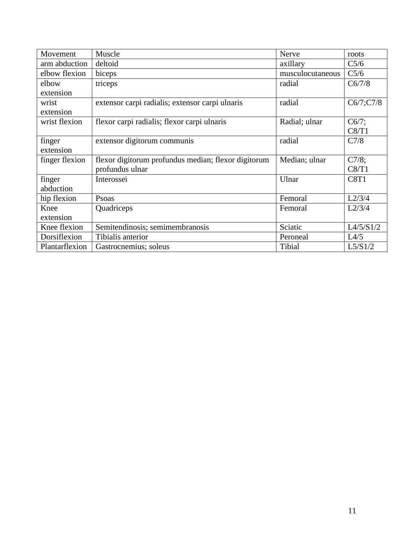| Movement       | Muscle                                              | Nerve            | roots     |
|----------------|-----------------------------------------------------|------------------|-----------|
| arm abduction  | deltoid                                             | axillary         | C5/6      |
| elbow flexion  | biceps                                              | musculocutaneous | C5/6      |
| elbow          | triceps                                             | radial           | C6/7/8    |
| extension      |                                                     |                  |           |
| wrist          | extensor carpi radialis; extensor carpi ulnaris     | radial           | C6/7;C7/8 |
| extension      |                                                     |                  |           |
| wrist flexion  | flexor carpi radialis; flexor carpi ulnaris         | Radial; ulnar    | $C6/7$ ;  |
|                |                                                     |                  | C8/T1     |
| finger         | extensor digitorum communis                         | radial           | C7/8      |
| extension      |                                                     |                  |           |
| finger flexion | flexor digitorum profundus median; flexor digitorum | Median; ulnar    | $C7/8$ ;  |
|                | profundus ulnar                                     |                  | C8/T1     |
| finger         | Interossei                                          | Ulnar            | C8T1      |
| abduction      |                                                     |                  |           |
| hip flexion    | Psoas                                               | Femoral          | L2/3/4    |
| Knee           | Quadriceps                                          | Femoral          | L2/3/4    |
| extension      |                                                     |                  |           |
| Knee flexion   | Semitendinosis; semimembranosis                     | Sciatic          | L4/5/S1/2 |
| Dorsiflexion   | Tibialis anterior                                   | Peroneal         | L4/5      |
| Plantarflexion | Gastrocnemius; soleus                               | Tibial           | L5/S1/2   |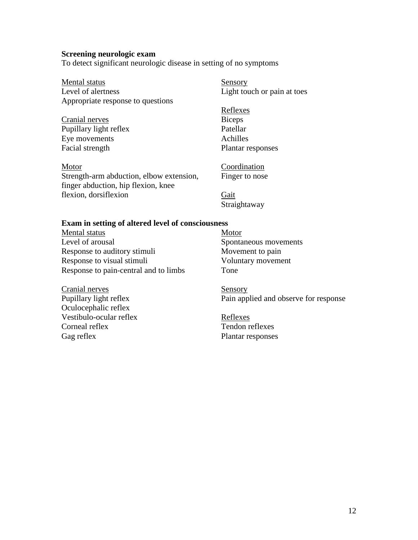#### **Screening neurologic exam**

To detect significant neurologic disease in setting of no symptoms

| Mental status                            | Sensory                     |
|------------------------------------------|-----------------------------|
| Level of alertness                       | Light touch or pain at toes |
| Appropriate response to questions        |                             |
|                                          | Reflexes                    |
| Cranial nerves                           | <b>Biceps</b>               |
| Pupillary light reflex                   | Patellar                    |
| Eye movements                            | Achilles                    |
| Facial strength                          | Plantar responses           |
| Motor                                    | Coordination                |
| Strength-arm abduction, elbow extension, | Finger to nose              |
| finger abduction, hip flexion, knee      |                             |
| flexion, dorsiflexion                    | Gait                        |
|                                          | Straightaway                |

### **Exam in setting of altered level of consciousness**

Mental status Level of arousal Response to auditory stimuli Response to visual stimuli Response to pain-central and to limbs

Motor Spontaneous movements Movement to pain Voluntary movement Tone

Cranial nerves Pupillary light reflex Oculocephalic reflex Vestibulo-ocular reflex Corneal reflex Gag reflex

Sensory Pain applied and observe for response

Reflexes Tendon reflexes Plantar responses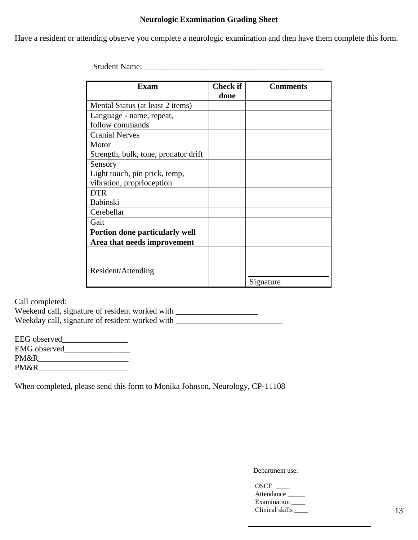### **Neurologic Examination Grading Sheet**

Have a resident or attending observe you complete a neurologic examination and then have them complete this form.

Student Name: \_\_\_\_\_\_\_\_\_\_\_\_\_\_\_\_\_\_\_\_\_\_\_\_\_\_\_\_\_\_\_\_\_\_\_\_\_\_\_\_\_\_\_\_

| <b>Exam</b>                          | <b>Check if</b> | <b>Comments</b> |
|--------------------------------------|-----------------|-----------------|
|                                      | done            |                 |
| Mental Status (at least 2 items)     |                 |                 |
| Language - name, repeat,             |                 |                 |
| follow commands                      |                 |                 |
| <b>Cranial Nerves</b>                |                 |                 |
| Motor                                |                 |                 |
| Strength, bulk, tone, pronator drift |                 |                 |
| Sensory                              |                 |                 |
| Light touch, pin prick, temp,        |                 |                 |
| vibration, proprioception            |                 |                 |
| <b>DTR</b>                           |                 |                 |
| Babinski                             |                 |                 |
| Cerebellar                           |                 |                 |
| Gait                                 |                 |                 |
| Portion done particularly well       |                 |                 |
| Area that needs improvement          |                 |                 |
|                                      |                 |                 |
|                                      |                 |                 |
| Resident/Attending                   |                 |                 |
|                                      |                 | Signature       |

Call completed:

Weekend call, signature of resident worked with \_\_\_\_\_\_\_\_\_\_\_\_\_\_\_\_\_\_\_\_\_\_\_\_\_\_\_\_\_\_\_\_ Weekday call, signature of resident worked with \_\_\_\_\_\_\_\_\_\_\_\_\_\_\_\_\_\_\_\_\_\_\_\_\_\_

| EEG observed |  |
|--------------|--|
| EMG observed |  |
| PM&R         |  |
| PM&R         |  |

When completed, please send this form to Monika Johnson, Neurology, CP-11108

| Department use:                                      |
|------------------------------------------------------|
| OSCE<br>Attendance<br>Examination<br>Clinical skills |